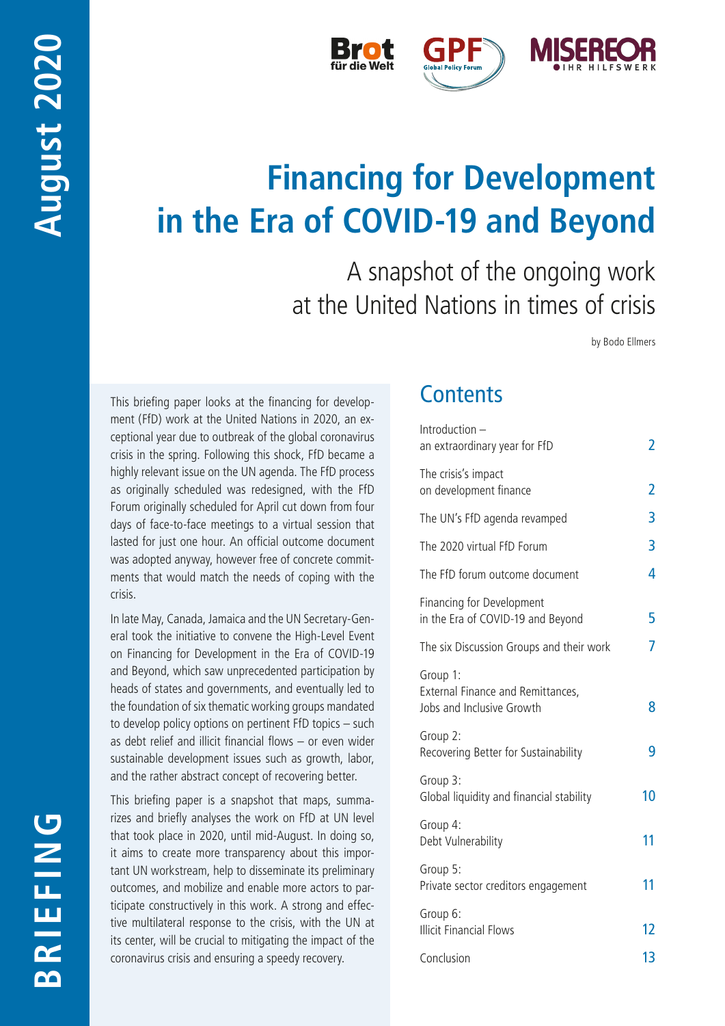



# **Financing for Development in the Era of COVID-19 and Beyond**

A snapshot of the ongoing work at the United Nations in times of crisis

by Bodo Ellmers

This briefing paper looks at the financing for development (FfD) work at the United Nations in 2020, an exceptional year due to outbreak of the global coronavirus crisis in the spring. Following this shock, FfD became a highly relevant issue on the UN agenda. The FfD process as originally scheduled was redesigned, with the FfD Forum originally scheduled for April cut down from four days of face-to-face meetings to a virtual session that lasted for just one hour. An official outcome document was adopted anyway, however free of concrete commitments that would match the needs of coping with the crisis.

In late May, Canada, Jamaica and the UN Secretary-General took the initiative to convene the High-Level Event on Financing for Development in the Era of COVID-19 and Beyond, which saw unprecedented participation by heads of states and governments, and eventually led to the foundation of six thematic working groups mandated to develop policy options on pertinent FfD topics – such as debt relief and illicit financial flows – or even wider sustainable development issues such as growth, labor, and the rather abstract concept of recovering better.

This briefing paper is a snapshot that maps, summarizes and briefly analyses the work on FfD at UN level that took place in 2020, until mid-August. In doing so, it aims to create more transparency about this important UN workstream, help to disseminate its preliminary outcomes, and mobilize and enable more actors to participate constructively in this work. A strong and effective multilateral response to the crisis, with the UN at its center, will be crucial to mitigating the impact of the coronavirus crisis and ensuring a speedy recovery.

# **Contents**

| 2  |
|----|
| 2  |
| 3  |
| 3  |
| 4  |
| 5  |
| 7  |
| 8  |
| 9  |
| 10 |
| 11 |
| 11 |
| 12 |
| 13 |
|    |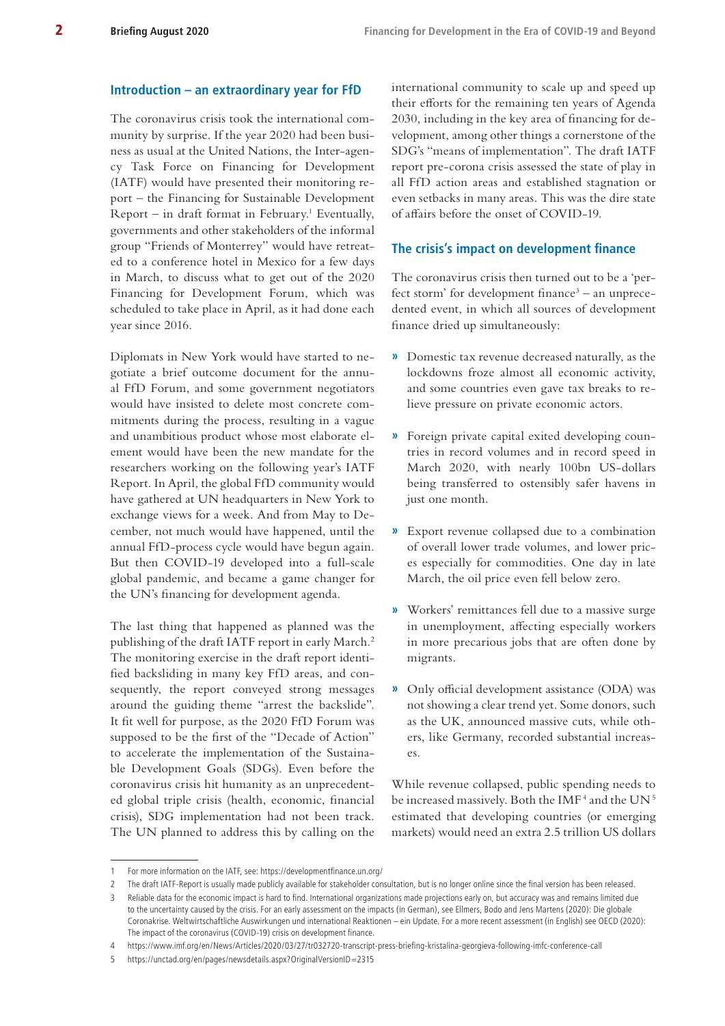# <span id="page-1-0"></span>**Introduction – an extraordinary year for FfD**

The coronavirus crisis took the international community by surprise. If the year 2020 had been business as usual at the United Nations, the Inter-agency Task Force on Financing for Development (IATF) would have presented their monitoring report – the Financing for Sustainable Development Report  $-$  in draft format in February.<sup>1</sup> Eventually, governments and other stakeholders of the informal group "Friends of Monterrey" would have retreated to a conference hotel in Mexico for a few days in March, to discuss what to get out of the 2020 Financing for Development Forum, which was scheduled to take place in April, as it had done each year since 2016.

Diplomats in New York would have started to negotiate a brief outcome document for the annual FfD Forum, and some government negotiators would have insisted to delete most concrete commitments during the process, resulting in a vague and unambitious product whose most elaborate element would have been the new mandate for the researchers working on the following year's IATF Report. In April, the global FfD community would have gathered at UN headquarters in New York to exchange views for a week. And from May to December, not much would have happened, until the annual FfD-process cycle would have begun again. But then COVID-19 developed into a full-scale global pandemic, and became a game changer for the UN's financing for development agenda.

The last thing that happened as planned was the publishing of the draft IATF report in early March.2 The monitoring exercise in the draft report identified backsliding in many key FfD areas, and consequently, the report conveyed strong messages around the guiding theme "arrest the backslide". It fit well for purpose, as the 2020 FfD Forum was supposed to be the first of the "Decade of Action" to accelerate the implementation of the Sustainable Development Goals (SDGs). Even before the coronavirus crisis hit humanity as an unprecedented global triple crisis (health, economic, financial crisis), SDG implementation had not been track. The UN planned to address this by calling on the

international community to scale up and speed up their efforts for the remaining ten years of Agenda 2030, including in the key area of financing for development, among other things a cornerstone of the SDG's "means of implementation". The draft IATF report pre-corona crisis assessed the state of play in all FfD action areas and established stagnation or even setbacks in many areas. This was the dire state of affairs before the onset of COVID-19.

# **The crisis's impact on development finance**

The coronavirus crisis then turned out to be a 'perfect storm' for development finance<sup>3</sup> - an unprecedented event, in which all sources of development finance dried up simultaneously:

- **»** Domestic tax revenue decreased naturally, as the lockdowns froze almost all economic activity, and some countries even gave tax breaks to relieve pressure on private economic actors.
- **»** Foreign private capital exited developing countries in record volumes and in record speed in March 2020, with nearly 100bn US-dollars being transferred to ostensibly safer havens in just one month.
- **»** Export revenue collapsed due to a combination of overall lower trade volumes, and lower prices especially for commodities. One day in late March, the oil price even fell below zero.
- **»** Workers' remittances fell due to a massive surge in unemployment, affecting especially workers in more precarious jobs that are often done by migrants.
- **»** Only official development assistance (ODA) was not showing a clear trend yet. Some donors, such as the UK, announced massive cuts, while others, like Germany, recorded substantial increas- $\overline{e}$

While revenue collapsed, public spending needs to be increased massively. Both the IMF<sup>4</sup> and the UN<sup>5</sup> estimated that developing countries (or emerging markets) would need an extra 2.5 trillion US dollars

<sup>1</sup> For more information on the IATF, see:<https://developmentfinance.un.org/>

<sup>2</sup> The draft IATF-Report is usually made publicly available for stakeholder consultation, but is no longer online since the final version has been released.

Reliable data for the economic impact is hard to find. International organizations made projections early on, but accuracy was and remains limited due to the uncertainty caused by the crisis. For an early assessment on the impacts (in German), see Ellmers, Bodo and Jens Martens (2020): Die globale Coronakrise. Weltwirtschaftliche Auswirkungen und international Reaktionen – ein Update. For a more recent assessment (in English) see OECD (2020): The impact of the coronavirus (COVID-19) crisis on development finance.

<sup>4</sup> <https://www.imf.org/en/News/Articles/2020/03/27/tr032720-transcript-press-briefing-kristalina-georgieva-following-imfc-conference-call>

<sup>5</sup> <https://unctad.org/en/pages/newsdetails.aspx?OriginalVersionID=2315>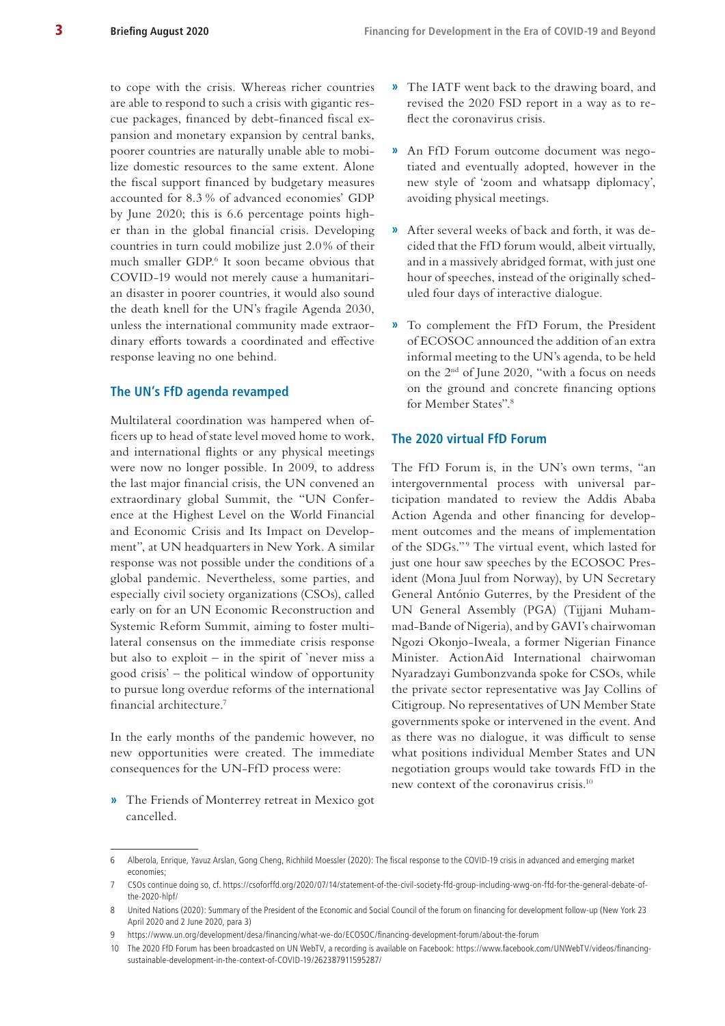<span id="page-2-0"></span>to cope with the crisis. Whereas richer countries are able to respond to such a crisis with gigantic rescue packages, financed by debt-financed fiscal expansion and monetary expansion by central banks, poorer countries are naturally unable able to mobilize domestic resources to the same extent. Alone the fiscal support financed by budgetary measures accounted for 8.3 % of advanced economies' GDP by June 2020; this is 6.6 percentage points higher than in the global financial crisis. Developing countries in turn could mobilize just 2.0% of their much smaller GDP.<sup>6</sup> It soon became obvious that COVID-19 would not merely cause a humanitarian disaster in poorer countries, it would also sound the death knell for the UN's fragile Agenda 2030, unless the international community made extraordinary efforts towards a coordinated and effective response leaving no one behind.

# **The UN's FfD agenda revamped**

Multilateral coordination was hampered when officers up to head of state level moved home to work, and international flights or any physical meetings were now no longer possible. In 2009, to address the last major financial crisis, the UN convened an extraordinary global Summit, the "UN Conference at the Highest Level on the World Financial and Economic Crisis and Its Impact on Development", at UN headquarters in New York. A similar response was not possible under the conditions of a global pandemic. Nevertheless, some parties, and especially civil society organizations (CSOs), called early on for an UN Economic Reconstruction and Systemic Reform Summit, aiming to foster multilateral consensus on the immediate crisis response but also to exploit  $-$  in the spirit of `never miss a good crisis' – the political window of opportunity to pursue long overdue reforms of the international financial architecture.7

In the early months of the pandemic however, no new opportunities were created. The immediate consequences for the UN-FfD process were:

**»** The Friends of Monterrey retreat in Mexico got cancelled.

- **»** The IATF went back to the drawing board, and revised the 2020 FSD report in a way as to reflect the coronavirus crisis.
- **»** An FfD Forum outcome document was negotiated and eventually adopted, however in the new style of 'zoom and whatsapp diplomacy', avoiding physical meetings.
- **»** After several weeks of back and forth, it was decided that the FfD forum would, albeit virtually, and in a massively abridged format, with just one hour of speeches, instead of the originally scheduled four days of interactive dialogue.
- **»** To complement the FfD Forum, the President of ECOSOC announced the addition of an extra informal meeting to the UN's agenda, to be held on the 2nd of June 2020, "with a focus on needs on the ground and concrete financing options for Member States".8

# **The 2020 virtual FfD Forum**

The FfD Forum is, in the UN's own terms, "an intergovernmental process with universal participation mandated to review the Addis Ababa Action Agenda and other financing for development outcomes and the means of implementation of the SDGs."<sup>9</sup> The virtual event, which lasted for just one hour saw speeches by the ECOSOC President (Mona Juul from Norway), by UN Secretary General António Guterres, by the President of the UN General Assembly (PGA) (Tijjani Muhammad-Bande of Nigeria), and by GAVI's chairwoman Ngozi Okonjo-Iweala, a former Nigerian Finance Minister. ActionAid International chairwoman Nyaradzayi Gumbonzvanda spoke for CSOs, while the private sector representative was Jay Collins of Citigroup. No representatives of UN Member State governments spoke or intervened in the event. And as there was no dialogue, it was difficult to sense what positions individual Member States and UN negotiation groups would take towards FfD in the new context of the coronavirus crisis.10

<sup>6</sup> Alberola, Enrique, Yavuz Arslan, Gong Cheng, Richhild Moessler (2020): The fiscal response to the COVID-19 crisis in advanced and emerging market economies;

<sup>7</sup> CSOs continue doing so, cf. [https://csoforffd.org/2020/07/14/statement-of-the-civil-society-ffd-group-including-wwg-on-ffd-for-the-general-debate-of](https://csoforffd.org/2020/07/14/statement-of-the-civil-society-ffd-group-including-wwg-on-ffd-for-the-general-debate-of-the-2020-hlpf/)[the-2020-hlpf/](https://csoforffd.org/2020/07/14/statement-of-the-civil-society-ffd-group-including-wwg-on-ffd-for-the-general-debate-of-the-2020-hlpf/)

<sup>8</sup> United Nations (2020): Summary of the President of the Economic and Social Council of the forum on financing for development follow-up (New York 23 April 2020 and 2 June 2020, para 3)

<sup>9</sup> <https://www.un.org/development/desa/financing/what-we-do/ECOSOC/financing-development-forum/about-the-forum>

<sup>10</sup> The 2020 FfD Forum has been broadcasted on UN WebTV, a recording is available on Facebook: [https://www.facebook.com/UNWebTV/videos/financing](https://www.facebook.com/UNWebTV/videos/financing-sustainable-development-in-the-context-of-COVID-19/262387911595287/)[sustainable-development-in-the-context-of-COVID-19/262387911595287/](https://www.facebook.com/UNWebTV/videos/financing-sustainable-development-in-the-context-of-COVID-19/262387911595287/)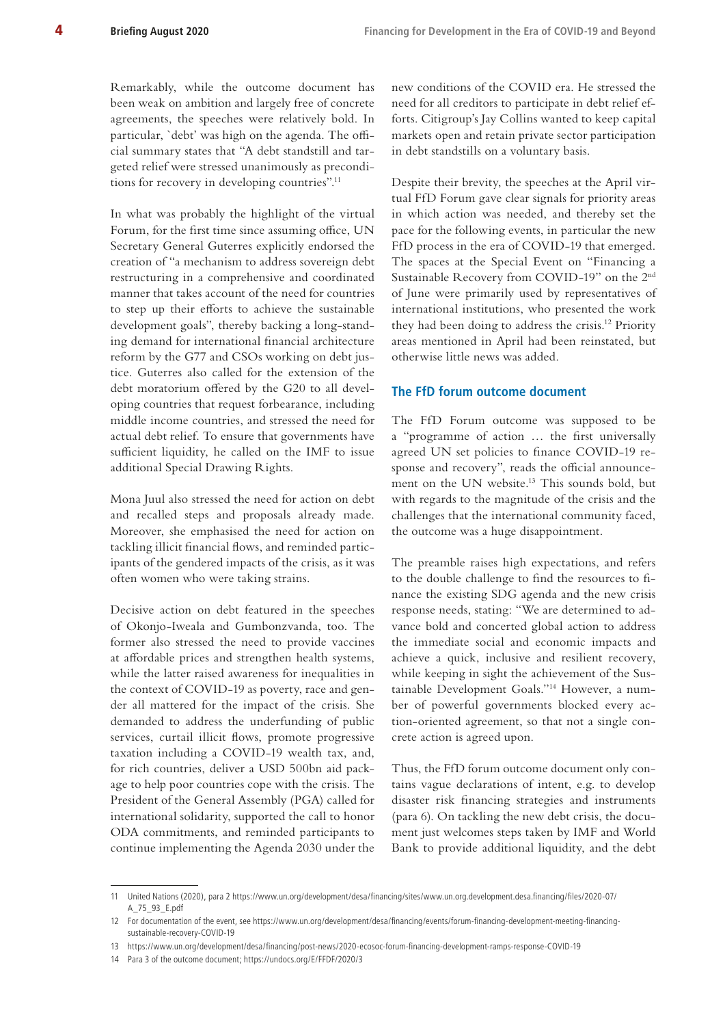<span id="page-3-0"></span>Remarkably, while the outcome document has been weak on ambition and largely free of concrete agreements, the speeches were relatively bold. In particular, `debt' was high on the agenda. The official summary states that "A debt standstill and targeted relief were stressed unanimously as preconditions for recovery in developing countries".11

In what was probably the highlight of the virtual Forum, for the first time since assuming office, UN Secretary General Guterres explicitly endorsed the creation of "a mechanism to address sovereign debt restructuring in a comprehensive and coordinated manner that takes account of the need for countries to step up their efforts to achieve the sustainable development goals", thereby backing a long-standing demand for international financial architecture reform by the G77 and CSOs working on debt justice. Guterres also called for the extension of the debt moratorium offered by the G20 to all developing countries that request forbearance, including middle income countries, and stressed the need for actual debt relief. To ensure that governments have sufficient liquidity, he called on the IMF to issue additional Special Drawing Rights.

Mona Juul also stressed the need for action on debt and recalled steps and proposals already made. Moreover, she emphasised the need for action on tackling illicit financial flows, and reminded participants of the gendered impacts of the crisis, as it was often women who were taking strains.

Decisive action on debt featured in the speeches of Okonjo-Iweala and Gumbonzvanda, too. The former also stressed the need to provide vaccines at affordable prices and strengthen health systems, while the latter raised awareness for inequalities in the context of COVID-19 as poverty, race and gender all mattered for the impact of the crisis. She demanded to address the underfunding of public services, curtail illicit flows, promote progressive taxation including a COVID-19 wealth tax, and, for rich countries, deliver a USD 500bn aid package to help poor countries cope with the crisis. The President of the General Assembly (PGA) called for international solidarity, supported the call to honor ODA commitments, and reminded participants to continue implementing the Agenda 2030 under the

new conditions of the COVID era. He stressed the need for all creditors to participate in debt relief efforts. Citigroup's Jay Collins wanted to keep capital markets open and retain private sector participation in debt standstills on a voluntary basis.

Despite their brevity, the speeches at the April virtual FfD Forum gave clear signals for priority areas in which action was needed, and thereby set the pace for the following events, in particular the new FfD process in the era of COVID-19 that emerged. The spaces at the Special Event on "Financing a Sustainable Recovery from COVID-19" on the 2nd of June were primarily used by representatives of international institutions, who presented the work they had been doing to address the crisis.<sup>12</sup> Priority areas mentioned in April had been reinstated, but otherwise little news was added.

# **The FfD forum outcome document**

The FfD Forum outcome was supposed to be a "programme of action … the first universally agreed UN set policies to finance COVID-19 response and recovery", reads the official announcement on the UN website.13 This sounds bold, but with regards to the magnitude of the crisis and the challenges that the international community faced, the outcome was a huge disappointment.

The preamble raises high expectations, and refers to the double challenge to find the resources to finance the existing SDG agenda and the new crisis response needs, stating: "We are determined to advance bold and concerted global action to address the immediate social and economic impacts and achieve a quick, inclusive and resilient recovery, while keeping in sight the achievement of the Sustainable Development Goals."14 However, a number of powerful governments blocked every action-oriented agreement, so that not a single concrete action is agreed upon.

Thus, the FfD forum outcome document only contains vague declarations of intent, e.g. to develop disaster risk financing strategies and instruments (para 6). On tackling the new debt crisis, the document just welcomes steps taken by IMF and World Bank to provide additional liquidity, and the debt

<sup>11</sup> United Nations (2020), para 2 [https://www.un.org/development/desa/financing/sites/www.un.org.development.desa.financing/files/2020-07/](https://www.un.org/development/desa/financing/sites/www.un.org.development.desa.financing/files/2020-07/A_75_93_E.pdf) [A\\_75\\_93\\_E.pdf](https://www.un.org/development/desa/financing/sites/www.un.org.development.desa.financing/files/2020-07/A_75_93_E.pdf)

<sup>12</sup> For documentation of the event, see [https://www.un.org/development/desa/financing/events/forum-financing-development-meeting-financing](https://www.un.org/development/desa/financing/events/forum-financing-development-meeting-financing-sustainable-recovery-COVID-19)[sustainable-recovery-COVID-19](https://www.un.org/development/desa/financing/events/forum-financing-development-meeting-financing-sustainable-recovery-COVID-19) 

<sup>13</sup> <https://www.un.org/development/desa/financing/post-news/2020-ecosoc-forum-financing-development-ramps-response-COVID-19>

<sup>14</sup> Para 3 of the outcome document;<https://undocs.org/E/FFDF/2020/3>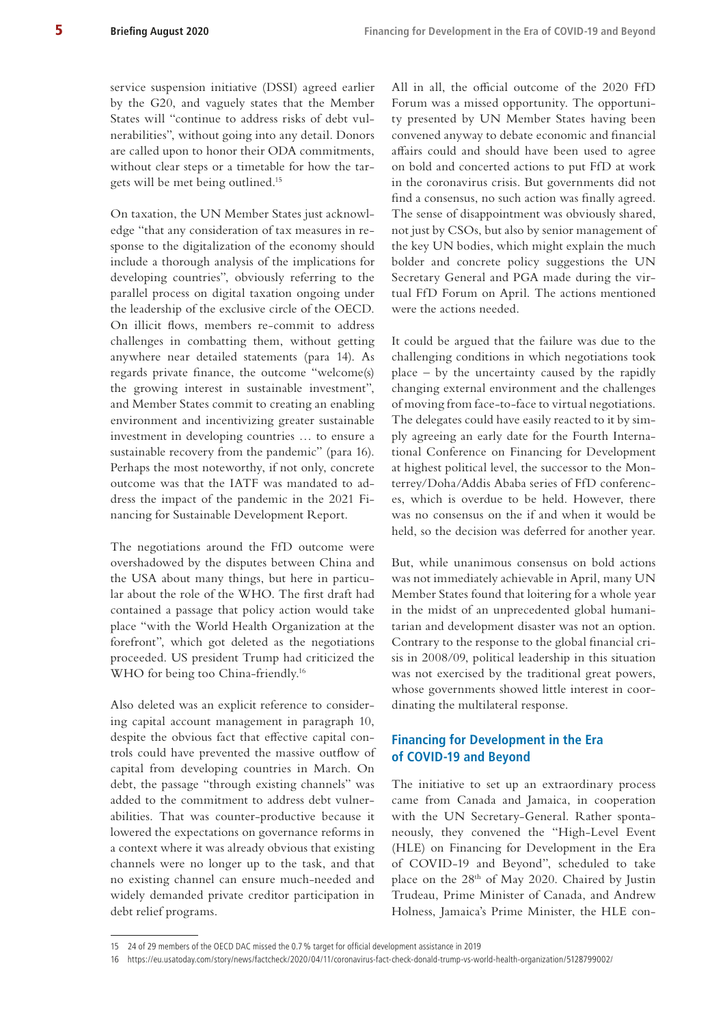<span id="page-4-0"></span>service suspension initiative (DSSI) agreed earlier by the G20, and vaguely states that the Member States will "continue to address risks of debt vulnerabilities", without going into any detail. Donors are called upon to honor their ODA commitments, without clear steps or a timetable for how the targets will be met being outlined.15

On taxation, the UN Member States just acknowledge "that any consideration of tax measures in response to the digitalization of the economy should include a thorough analysis of the implications for developing countries", obviously referring to the parallel process on digital taxation ongoing under the leadership of the exclusive circle of the OECD. On illicit flows, members re-commit to address challenges in combatting them, without getting anywhere near detailed statements (para 14). As regards private finance, the outcome "welcome(s) the growing interest in sustainable investment", and Member States commit to creating an enabling environment and incentivizing greater sustainable investment in developing countries … to ensure a sustainable recovery from the pandemic" (para 16). Perhaps the most noteworthy, if not only, concrete outcome was that the IATF was mandated to address the impact of the pandemic in the 2021 Financing for Sustainable Development Report.

The negotiations around the FfD outcome were overshadowed by the disputes between China and the USA about many things, but here in particular about the role of the WHO. The first draft had contained a passage that policy action would take place "with the World Health Organization at the forefront", which got deleted as the negotiations proceeded. US president Trump had criticized the WHO for being too China-friendly.<sup>16</sup>

Also deleted was an explicit reference to considering capital account management in paragraph 10, despite the obvious fact that effective capital controls could have prevented the massive outflow of capital from developing countries in March. On debt, the passage "through existing channels" was added to the commitment to address debt vulnerabilities. That was counter-productive because it lowered the expectations on governance reforms in a context where it was already obvious that existing channels were no longer up to the task, and that no existing channel can ensure much-needed and widely demanded private creditor participation in debt relief programs.

All in all, the official outcome of the 2020 FfD Forum was a missed opportunity. The opportunity presented by UN Member States having been convened anyway to debate economic and financial affairs could and should have been used to agree on bold and concerted actions to put FfD at work in the coronavirus crisis. But governments did not find a consensus, no such action was finally agreed. The sense of disappointment was obviously shared, not just by CSOs, but also by senior management of the key UN bodies, which might explain the much bolder and concrete policy suggestions the UN Secretary General and PGA made during the virtual FfD Forum on April. The actions mentioned were the actions needed.

It could be argued that the failure was due to the challenging conditions in which negotiations took place – by the uncertainty caused by the rapidly changing external environment and the challenges of moving from face-to-face to virtual negotiations. The delegates could have easily reacted to it by simply agreeing an early date for the Fourth International Conference on Financing for Development at highest political level, the successor to the Monterrey/Doha/Addis Ababa series of FfD conferences, which is overdue to be held. However, there was no consensus on the if and when it would be held, so the decision was deferred for another year.

But, while unanimous consensus on bold actions was not immediately achievable in April, many UN Member States found that loitering for a whole year in the midst of an unprecedented global humanitarian and development disaster was not an option. Contrary to the response to the global financial crisis in 2008/09, political leadership in this situation was not exercised by the traditional great powers, whose governments showed little interest in coordinating the multilateral response.

# **Financing for Development in the Era of COVID-19 and Beyond**

The initiative to set up an extraordinary process came from Canada and Jamaica, in cooperation with the UN Secretary-General. Rather spontaneously, they convened the "High-Level Event (HLE) on Financing for Development in the Era of COVID-19 and Beyond", scheduled to take place on the 28th of May 2020. Chaired by Justin Trudeau, Prime Minister of Canada, and Andrew Holness, Jamaica's Prime Minister, the HLE con-

<sup>15 24</sup> of 29 members of the OECD DAC missed the 0.7% target for official development assistance in 2019

<sup>16</sup> <https://eu.usatoday.com/story/news/factcheck/2020/04/11/coronavirus-fact-check-donald-trump-vs-world-health-organization/5128799002/>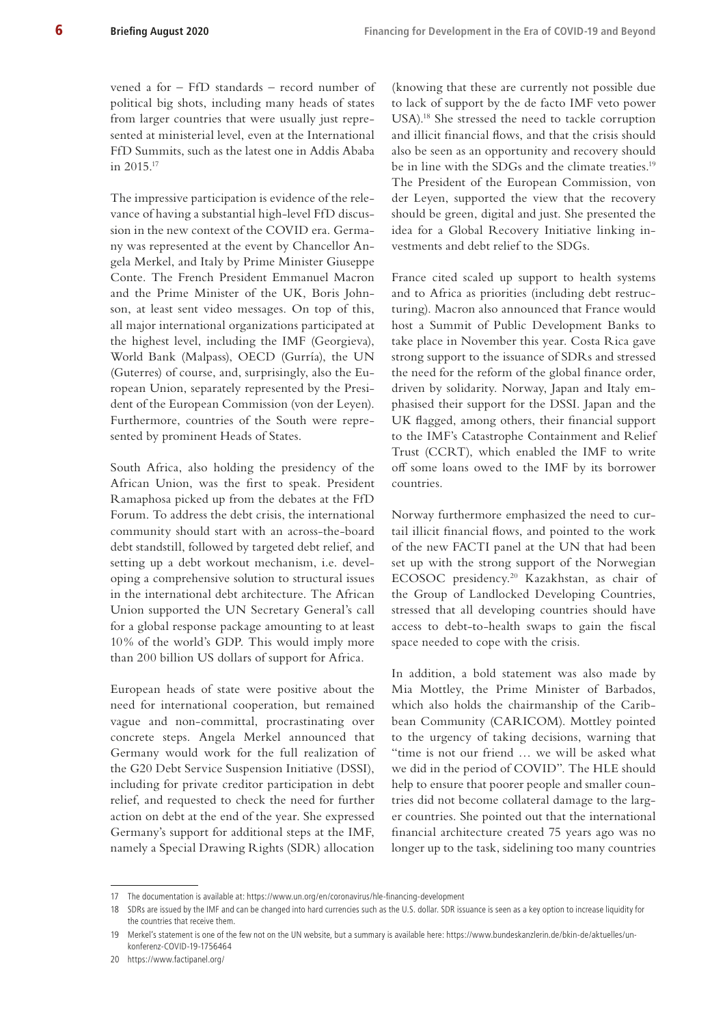vened a for – FfD standards – record number of political big shots, including many heads of states from larger countries that were usually just represented at ministerial level, even at the International FfD Summits, such as the latest one in Addis Ababa in 2015.17

The impressive participation is evidence of the relevance of having a substantial high-level FfD discussion in the new context of the COVID era. Germany was represented at the event by Chancellor Angela Merkel, and Italy by Prime Minister Giuseppe Conte. The French President Emmanuel Macron and the Prime Minister of the UK, Boris Johnson, at least sent video messages. On top of this, all major international organizations participated at the highest level, including the IMF (Georgieva), World Bank (Malpass), OECD (Gurría), the UN (Guterres) of course, and, surprisingly, also the European Union, separately represented by the President of the European Commission (von der Leyen). Furthermore, countries of the South were represented by prominent Heads of States.

South Africa, also holding the presidency of the African Union, was the first to speak. President Ramaphosa picked up from the debates at the FfD Forum. To address the debt crisis, the international community should start with an across-the-board debt standstill, followed by targeted debt relief, and setting up a debt workout mechanism, i.e. developing a comprehensive solution to structural issues in the international debt architecture. The African Union supported the UN Secretary General's call for a global response package amounting to at least 10% of the world's GDP. This would imply more than 200 billion US dollars of support for Africa.

European heads of state were positive about the need for international cooperation, but remained vague and non-committal, procrastinating over concrete steps. Angela Merkel announced that Germany would work for the full realization of the G20 Debt Service Suspension Initiative (DSSI), including for private creditor participation in debt relief, and requested to check the need for further action on debt at the end of the year. She expressed Germany's support for additional steps at the IMF, namely a Special Drawing Rights (SDR) allocation

(knowing that these are currently not possible due to lack of support by the de facto IMF veto power USA).18 She stressed the need to tackle corruption and illicit financial flows, and that the crisis should also be seen as an opportunity and recovery should be in line with the SDGs and the climate treaties.19 The President of the European Commission, von der Leyen, supported the view that the recovery should be green, digital and just. She presented the idea for a Global Recovery Initiative linking investments and debt relief to the SDGs.

France cited scaled up support to health systems and to Africa as priorities (including debt restructuring). Macron also announced that France would host a Summit of Public Development Banks to take place in November this year. Costa Rica gave strong support to the issuance of SDRs and stressed the need for the reform of the global finance order, driven by solidarity. Norway, Japan and Italy emphasised their support for the DSSI. Japan and the UK flagged, among others, their financial support to the IMF's Catastrophe Containment and Relief Trust (CCRT), which enabled the IMF to write off some loans owed to the IMF by its borrower countries.

Norway furthermore emphasized the need to curtail illicit financial flows, and pointed to the work of the new FACTI panel at the UN that had been set up with the strong support of the Norwegian ECOSOC presidency.20 Kazakhstan, as chair of the Group of Landlocked Developing Countries, stressed that all developing countries should have access to debt-to-health swaps to gain the fiscal space needed to cope with the crisis.

In addition, a bold statement was also made by Mia Mottley, the Prime Minister of Barbados, which also holds the chairmanship of the Caribbean Community (CARICOM). Mottley pointed to the urgency of taking decisions, warning that "time is not our friend … we will be asked what we did in the period of COVID". The HLE should help to ensure that poorer people and smaller countries did not become collateral damage to the larger countries. She pointed out that the international financial architecture created 75 years ago was no longer up to the task, sidelining too many countries

<sup>17</sup> The documentation is available at: <https://www.un.org/en/coronavirus/hle-financing-development>

<sup>18</sup> SDRs are issued by the IMF and can be changed into hard currencies such as the U.S. dollar. SDR issuance is seen as a key option to increase liquidity for the countries that receive them.

<sup>19</sup> Merkel's statement is one of the few not on the UN website, but a summary is available here: [https://www.bundeskanzlerin.de/bkin-de/aktuelles/un](https://www.bundeskanzlerin.de/bkin-de/aktuelles/un-konferenz-COVID-19-1756464)[konferenz-COVID-19-1756464](https://www.bundeskanzlerin.de/bkin-de/aktuelles/un-konferenz-COVID-19-1756464)

<sup>20</sup> <https://www.factipanel.org/>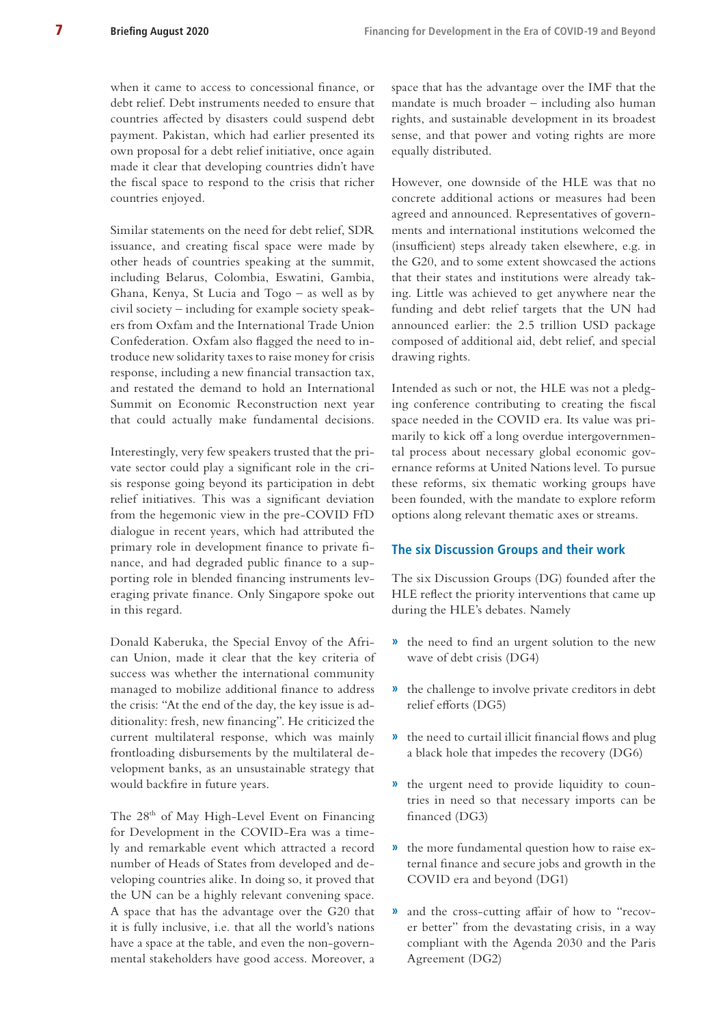<span id="page-6-0"></span>when it came to access to concessional finance, or debt relief. Debt instruments needed to ensure that countries affected by disasters could suspend debt payment. Pakistan, which had earlier presented its own proposal for a debt relief initiative, once again made it clear that developing countries didn't have the fiscal space to respond to the crisis that richer countries enjoyed.

Similar statements on the need for debt relief, SDR issuance, and creating fiscal space were made by other heads of countries speaking at the summit, including Belarus, Colombia, Eswatini, Gambia, Ghana, Kenya, St Lucia and Togo – as well as by civil society – including for example society speakers from Oxfam and the International Trade Union Confederation. Oxfam also flagged the need to introduce new solidarity taxes to raise money for crisis response, including a new financial transaction tax, and restated the demand to hold an International Summit on Economic Reconstruction next year that could actually make fundamental decisions.

Interestingly, very few speakers trusted that the private sector could play a significant role in the crisis response going beyond its participation in debt relief initiatives. This was a significant deviation from the hegemonic view in the pre-COVID FfD dialogue in recent years, which had attributed the primary role in development finance to private finance, and had degraded public finance to a supporting role in blended financing instruments leveraging private finance. Only Singapore spoke out in this regard.

Donald Kaberuka, the Special Envoy of the African Union, made it clear that the key criteria of success was whether the international community managed to mobilize additional finance to address the crisis: "At the end of the day, the key issue is additionality: fresh, new financing". He criticized the current multilateral response, which was mainly frontloading disbursements by the multilateral development banks, as an unsustainable strategy that would backfire in future years.

The 28th of May High-Level Event on Financing for Development in the COVID-Era was a timely and remarkable event which attracted a record number of Heads of States from developed and developing countries alike. In doing so, it proved that the UN can be a highly relevant convening space. A space that has the advantage over the G20 that it is fully inclusive, i.e. that all the world's nations have a space at the table, and even the non-governmental stakeholders have good access. Moreover, a

space that has the advantage over the IMF that the mandate is much broader – including also human rights, and sustainable development in its broadest sense, and that power and voting rights are more equally distributed.

However, one downside of the HLE was that no concrete additional actions or measures had been agreed and announced. Representatives of governments and international institutions welcomed the (insufficient) steps already taken elsewhere, e.g. in the G20, and to some extent showcased the actions that their states and institutions were already taking. Little was achieved to get anywhere near the funding and debt relief targets that the UN had announced earlier: the 2.5 trillion USD package composed of additional aid, debt relief, and special drawing rights.

Intended as such or not, the HLE was not a pledging conference contributing to creating the fiscal space needed in the COVID era. Its value was primarily to kick off a long overdue intergovernmental process about necessary global economic governance reforms at United Nations level. To pursue these reforms, six thematic working groups have been founded, with the mandate to explore reform options along relevant thematic axes or streams.

#### **The six Discussion Groups and their work**

The six Discussion Groups (DG) founded after the HLE reflect the priority interventions that came up during the HLE's debates. Namely

- **»** the need to find an urgent solution to the new wave of debt crisis (DG4)
- **»** the challenge to involve private creditors in debt relief efforts (DG5)
- **»** the need to curtail illicit financial flows and plug a black hole that impedes the recovery (DG6)
- **»** the urgent need to provide liquidity to countries in need so that necessary imports can be financed (DG3)
- **»** the more fundamental question how to raise external finance and secure jobs and growth in the COVID era and beyond (DG1)
- **»** and the cross-cutting affair of how to "recover better" from the devastating crisis, in a way compliant with the Agenda 2030 and the Paris Agreement (DG2)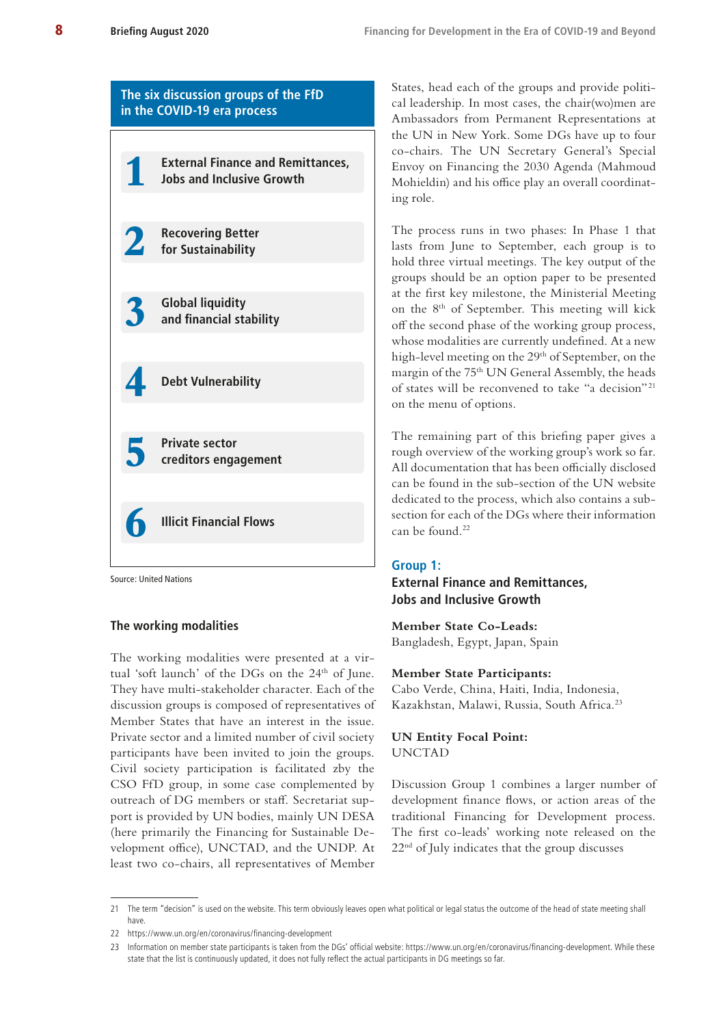<span id="page-7-0"></span>

Source: United Nations

### **The working modalities**

The working modalities were presented at a virtual 'soft launch' of the DGs on the 24<sup>th</sup> of June. They have multi-stakeholder character. Each of the discussion groups is composed of representatives of Member States that have an interest in the issue. Private sector and a limited number of civil society participants have been invited to join the groups. Civil society participation is facilitated zby the CSO FfD group, in some case complemented by outreach of DG members or staff. Secretariat support is provided by UN bodies, mainly UN DESA (here primarily the Financing for Sustainable Development office), UNCTAD, and the UNDP. At least two co-chairs, all representatives of Member

States, head each of the groups and provide political leadership. In most cases, the chair(wo)men are Ambassadors from Permanent Representations at the UN in New York. Some DGs have up to four co-chairs. The UN Secretary General's Special Envoy on Financing the 2030 Agenda (Mahmoud Mohieldin) and his office play an overall coordinating role.

The process runs in two phases: In Phase 1 that lasts from June to September, each group is to hold three virtual meetings. The key output of the groups should be an option paper to be presented at the first key milestone, the Ministerial Meeting on the 8th of September. This meeting will kick off the second phase of the working group process, whose modalities are currently undefined. At a new high-level meeting on the 29<sup>th</sup> of September, on the margin of the 75<sup>th</sup> UN General Assembly, the heads of states will be reconvened to take "a decision"<sup>21</sup> on the menu of options.

The remaining part of this briefing paper gives a rough overview of the working group's work so far. All documentation that has been officially disclosed can be found in the sub-section of the UN website dedicated to the process, which also contains a subsection for each of the DGs where their information can be found.22

# **Group 1:**

# **External Finance and Remittances, Jobs and Inclusive Growth**

**Member State Co-Leads:**  Bangladesh, Egypt, Japan, Spain

#### **Member State Participants:**

Cabo Verde, China, Haiti, India, Indonesia, Kazakhstan, Malawi, Russia, South Africa.23

# **UN Entity Focal Point:**  UNCTAD

Discussion Group 1 combines a larger number of development finance flows, or action areas of the traditional Financing for Development process. The first co-leads' working note released on the  $22<sup>nd</sup>$  of July indicates that the group discusses

<sup>21</sup> The term "decision" is used on the website. This term obviously leaves open what political or legal status the outcome of the head of state meeting shall have.

<sup>22</sup> <https://www.un.org/en/coronavirus/financing-development>

<sup>23</sup> Information on member state participants is taken from the DGs' official website:<https://www.un.org/en/coronavirus/financing-development>. While these state that the list is continuously updated, it does not fully reflect the actual participants in DG meetings so far.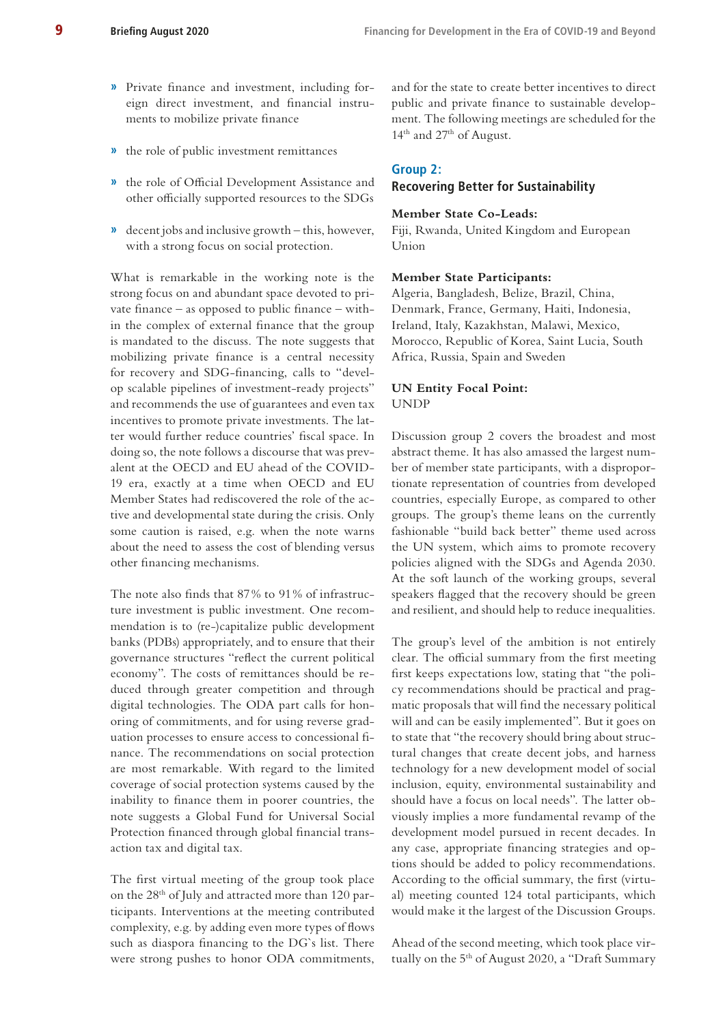- <span id="page-8-0"></span>**»** Private finance and investment, including foreign direct investment, and financial instruments to mobilize private finance
- **»** the role of public investment remittances
- **»** the role of Official Development Assistance and other officially supported resources to the SDGs
- **»** decent jobs and inclusive growth this, however, with a strong focus on social protection.

What is remarkable in the working note is the strong focus on and abundant space devoted to private finance – as opposed to public finance – within the complex of external finance that the group is mandated to the discuss. The note suggests that mobilizing private finance is a central necessity for recovery and SDG-financing, calls to "develop scalable pipelines of investment-ready projects" and recommends the use of guarantees and even tax incentives to promote private investments. The latter would further reduce countries' fiscal space. In doing so, the note follows a discourse that was prevalent at the OECD and EU ahead of the COVID-19 era, exactly at a time when OECD and EU Member States had rediscovered the role of the active and developmental state during the crisis. Only some caution is raised, e.g. when the note warns about the need to assess the cost of blending versus other financing mechanisms.

The note also finds that 87% to 91% of infrastructure investment is public investment. One recommendation is to (re-)capitalize public development banks (PDBs) appropriately, and to ensure that their governance structures "reflect the current political economy". The costs of remittances should be reduced through greater competition and through digital technologies. The ODA part calls for honoring of commitments, and for using reverse graduation processes to ensure access to concessional finance. The recommendations on social protection are most remarkable. With regard to the limited coverage of social protection systems caused by the inability to finance them in poorer countries, the note suggests a Global Fund for Universal Social Protection financed through global financial transaction tax and digital tax.

The first virtual meeting of the group took place on the 28th of July and attracted more than 120 participants. Interventions at the meeting contributed complexity, e.g. by adding even more types of flows such as diaspora financing to the DG`s list. There were strong pushes to honor ODA commitments,

and for the state to create better incentives to direct public and private finance to sustainable development. The following meetings are scheduled for the 14<sup>th</sup> and 27<sup>th</sup> of August.

# **Group 2:**

# **Recovering Better for Sustainability**

#### **Member State Co-Leads:**

Fiji, Rwanda, United Kingdom and European Union

#### **Member State Participants:**

Algeria, Bangladesh, Belize, Brazil, China, Denmark, France, Germany, Haiti, Indonesia, Ireland, Italy, Kazakhstan, Malawi, Mexico, Morocco, Republic of Korea, Saint Lucia, South Africa, Russia, Spain and Sweden

#### **UN Entity Focal Point:**  UNDP

Discussion group 2 covers the broadest and most abstract theme. It has also amassed the largest number of member state participants, with a disproportionate representation of countries from developed countries, especially Europe, as compared to other groups. The group's theme leans on the currently fashionable "build back better" theme used across the UN system, which aims to promote recovery policies aligned with the SDGs and Agenda 2030. At the soft launch of the working groups, several speakers flagged that the recovery should be green and resilient, and should help to reduce inequalities.

The group's level of the ambition is not entirely clear. The official summary from the first meeting first keeps expectations low, stating that "the policy recommendations should be practical and pragmatic proposals that will find the necessary political will and can be easily implemented". But it goes on to state that "the recovery should bring about structural changes that create decent jobs, and harness technology for a new development model of social inclusion, equity, environmental sustainability and should have a focus on local needs". The latter obviously implies a more fundamental revamp of the development model pursued in recent decades. In any case, appropriate financing strategies and options should be added to policy recommendations. According to the official summary, the first (virtual) meeting counted 124 total participants, which would make it the largest of the Discussion Groups.

Ahead of the second meeting, which took place virtually on the 5<sup>th</sup> of August 2020, a "Draft Summary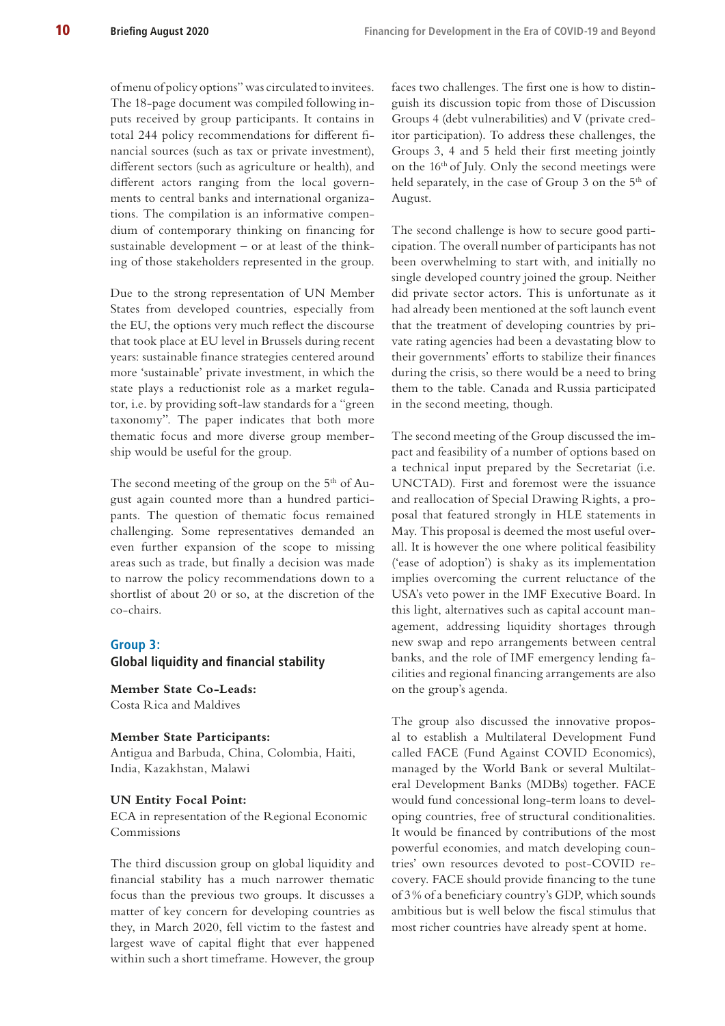<span id="page-9-0"></span>of menu of policy options" was circulated to invitees. The 18-page document was compiled following inputs received by group participants. It contains in total 244 policy recommendations for different financial sources (such as tax or private investment), different sectors (such as agriculture or health), and different actors ranging from the local governments to central banks and international organizations. The compilation is an informative compendium of contemporary thinking on financing for sustainable development – or at least of the thinking of those stakeholders represented in the group.

Due to the strong representation of UN Member States from developed countries, especially from the EU, the options very much reflect the discourse that took place at EU level in Brussels during recent years: sustainable finance strategies centered around more 'sustainable' private investment, in which the state plays a reductionist role as a market regulator, i.e. by providing soft-law standards for a "green taxonomy". The paper indicates that both more thematic focus and more diverse group membership would be useful for the group.

The second meeting of the group on the 5th of August again counted more than a hundred participants. The question of thematic focus remained challenging. Some representatives demanded an even further expansion of the scope to missing areas such as trade, but finally a decision was made to narrow the policy recommendations down to a shortlist of about 20 or so, at the discretion of the co-chairs.

# **Group 3:**

**Global liquidity and financial stability**

**Member State Co-Leads:**  Costa Rica and Maldives

#### **Member State Participants:**

Antigua and Barbuda, China, Colombia, Haiti, India, Kazakhstan, Malawi

#### **UN Entity Focal Point:**

ECA in representation of the Regional Economic Commissions

The third discussion group on global liquidity and financial stability has a much narrower thematic focus than the previous two groups. It discusses a matter of key concern for developing countries as they, in March 2020, fell victim to the fastest and largest wave of capital flight that ever happened within such a short timeframe. However, the group

faces two challenges. The first one is how to distinguish its discussion topic from those of Discussion Groups 4 (debt vulnerabilities) and V (private creditor participation). To address these challenges, the Groups 3, 4 and 5 held their first meeting jointly on the 16th of July. Only the second meetings were held separately, in the case of Group 3 on the 5<sup>th</sup> of August.

The second challenge is how to secure good participation. The overall number of participants has not been overwhelming to start with, and initially no single developed country joined the group. Neither did private sector actors. This is unfortunate as it had already been mentioned at the soft launch event that the treatment of developing countries by private rating agencies had been a devastating blow to their governments' efforts to stabilize their finances during the crisis, so there would be a need to bring them to the table. Canada and Russia participated in the second meeting, though.

The second meeting of the Group discussed the impact and feasibility of a number of options based on a technical input prepared by the Secretariat (i.e. UNCTAD). First and foremost were the issuance and reallocation of Special Drawing Rights, a proposal that featured strongly in HLE statements in May. This proposal is deemed the most useful overall. It is however the one where political feasibility ('ease of adoption') is shaky as its implementation implies overcoming the current reluctance of the USA's veto power in the IMF Executive Board. In this light, alternatives such as capital account management, addressing liquidity shortages through new swap and repo arrangements between central banks, and the role of IMF emergency lending facilities and regional financing arrangements are also on the group's agenda.

The group also discussed the innovative proposal to establish a Multilateral Development Fund called FACE (Fund Against COVID Economics), managed by the World Bank or several Multilateral Development Banks (MDBs) together. FACE would fund concessional long-term loans to developing countries, free of structural conditionalities. It would be financed by contributions of the most powerful economies, and match developing countries' own resources devoted to post-COVID recovery. FACE should provide financing to the tune of 3% of a beneficiary country's GDP, which sounds ambitious but is well below the fiscal stimulus that most richer countries have already spent at home.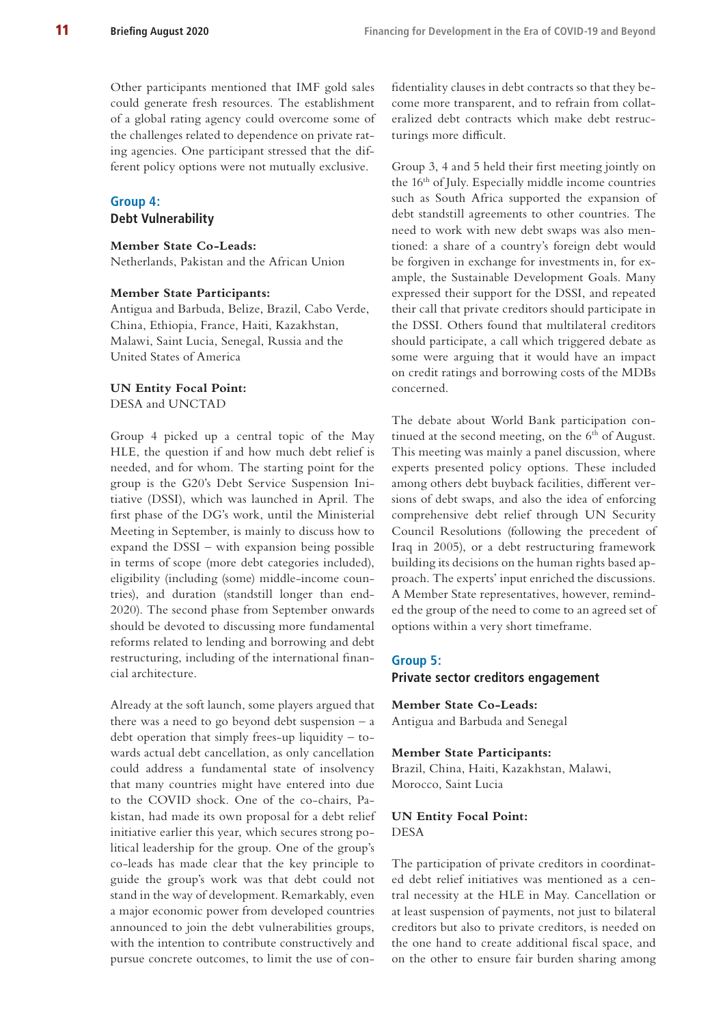<span id="page-10-0"></span>Other participants mentioned that IMF gold sales could generate fresh resources. The establishment of a global rating agency could overcome some of the challenges related to dependence on private rating agencies. One participant stressed that the different policy options were not mutually exclusive.

#### **Group 4:**

#### **Debt Vulnerability**

#### **Member State Co-Leads:**

Netherlands, Pakistan and the African Union

#### **Member State Participants:**

Antigua and Barbuda, Belize, Brazil, Cabo Verde, China, Ethiopia, France, Haiti, Kazakhstan, Malawi, Saint Lucia, Senegal, Russia and the United States of America

#### **UN Entity Focal Point:**  DESA and UNCTAD

Group 4 picked up a central topic of the May HLE, the question if and how much debt relief is needed, and for whom. The starting point for the group is the G20's Debt Service Suspension Initiative (DSSI), which was launched in April. The first phase of the DG's work, until the Ministerial Meeting in September, is mainly to discuss how to expand the DSSI – with expansion being possible in terms of scope (more debt categories included), eligibility (including (some) middle-income countries), and duration (standstill longer than end-2020). The second phase from September onwards should be devoted to discussing more fundamental reforms related to lending and borrowing and debt restructuring, including of the international financial architecture.

Already at the soft launch, some players argued that there was a need to go beyond debt suspension  $-$  a debt operation that simply frees-up liquidity – towards actual debt cancellation, as only cancellation could address a fundamental state of insolvency that many countries might have entered into due to the COVID shock. One of the co-chairs, Pakistan, had made its own proposal for a debt relief initiative earlier this year, which secures strong political leadership for the group. One of the group's co-leads has made clear that the key principle to guide the group's work was that debt could not stand in the way of development. Remarkably, even a major economic power from developed countries announced to join the debt vulnerabilities groups, with the intention to contribute constructively and pursue concrete outcomes, to limit the use of confidentiality clauses in debt contracts so that they become more transparent, and to refrain from collateralized debt contracts which make debt restructurings more difficult.

Group 3, 4 and 5 held their first meeting jointly on the 16th of July. Especially middle income countries such as South Africa supported the expansion of debt standstill agreements to other countries. The need to work with new debt swaps was also mentioned: a share of a country's foreign debt would be forgiven in exchange for investments in, for example, the Sustainable Development Goals. Many expressed their support for the DSSI, and repeated their call that private creditors should participate in the DSSI. Others found that multilateral creditors should participate, a call which triggered debate as some were arguing that it would have an impact on credit ratings and borrowing costs of the MDBs concerned.

The debate about World Bank participation continued at the second meeting, on the  $6<sup>th</sup>$  of August. This meeting was mainly a panel discussion, where experts presented policy options. These included among others debt buyback facilities, different versions of debt swaps, and also the idea of enforcing comprehensive debt relief through UN Security Council Resolutions (following the precedent of Iraq in 2005), or a debt restructuring framework building its decisions on the human rights based approach. The experts' input enriched the discussions. A Member State representatives, however, reminded the group of the need to come to an agreed set of options within a very short timeframe.

#### **Group 5:**

### **Private sector creditors engagement**

**Member State Co-Leads:**  Antigua and Barbuda and Senegal

#### **Member State Participants:**

Brazil, China, Haiti, Kazakhstan, Malawi, Morocco, Saint Lucia

#### **UN Entity Focal Point:**  DESA

The participation of private creditors in coordinated debt relief initiatives was mentioned as a central necessity at the HLE in May. Cancellation or at least suspension of payments, not just to bilateral creditors but also to private creditors, is needed on the one hand to create additional fiscal space, and on the other to ensure fair burden sharing among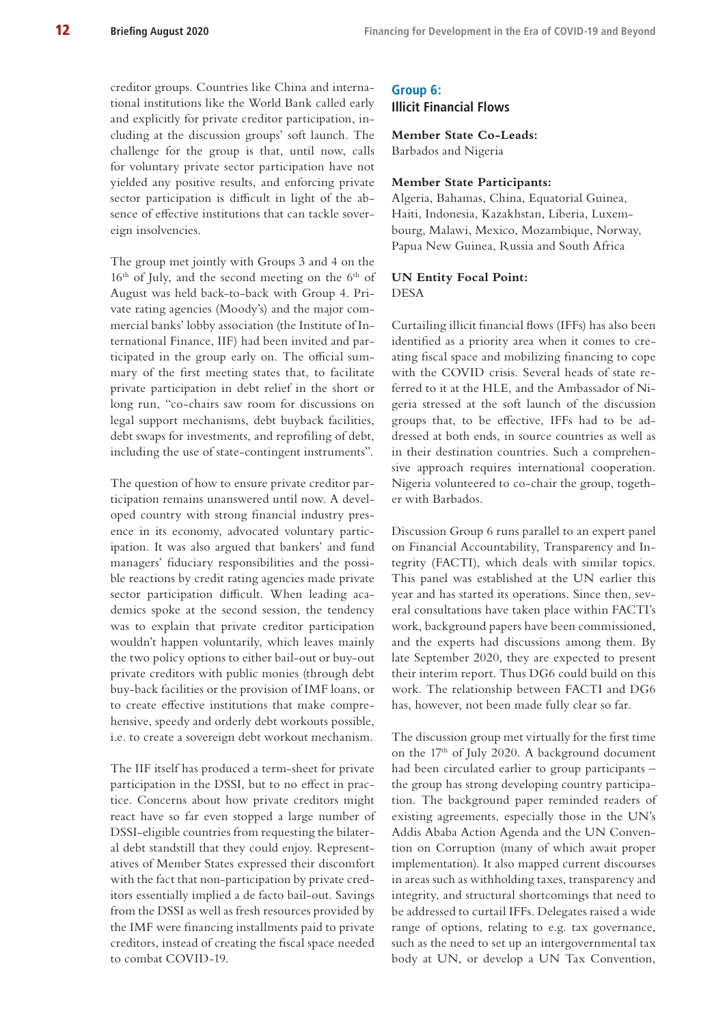<span id="page-11-0"></span>creditor groups. Countries like China and international institutions like the World Bank called early and explicitly for private creditor participation, including at the discussion groups' soft launch. The challenge for the group is that, until now, calls for voluntary private sector participation have not yielded any positive results, and enforcing private sector participation is difficult in light of the absence of effective institutions that can tackle sovereign insolvencies.

The group met jointly with Groups 3 and 4 on the  $16<sup>th</sup>$  of July, and the second meeting on the  $6<sup>th</sup>$  of August was held back-to-back with Group 4. Private rating agencies (Moody's) and the major commercial banks' lobby association (the Institute of International Finance, IIF) had been invited and participated in the group early on. The official summary of the first meeting states that, to facilitate private participation in debt relief in the short or long run, "co-chairs saw room for discussions on legal support mechanisms, debt buyback facilities, debt swaps for investments, and reprofiling of debt, including the use of state-contingent instruments".

The question of how to ensure private creditor participation remains unanswered until now. A developed country with strong financial industry presence in its economy, advocated voluntary participation. It was also argued that bankers' and fund managers' fiduciary responsibilities and the possible reactions by credit rating agencies made private sector participation difficult. When leading academics spoke at the second session, the tendency was to explain that private creditor participation wouldn't happen voluntarily, which leaves mainly the two policy options to either bail-out or buy-out private creditors with public monies (through debt buy-back facilities or the provision of IMF loans, or to create effective institutions that make comprehensive, speedy and orderly debt workouts possible, i.e. to create a sovereign debt workout mechanism.

The IIF itself has produced a term-sheet for private participation in the DSSI, but to no effect in practice. Concerns about how private creditors might react have so far even stopped a large number of DSSI-eligible countries from requesting the bilateral debt standstill that they could enjoy. Representatives of Member States expressed their discomfort with the fact that non-participation by private creditors essentially implied a de facto bail-out. Savings from the DSSI as well as fresh resources provided by the IMF were financing installments paid to private creditors, instead of creating the fiscal space needed to combat COVID-19.

# **Group 6:**

**Illicit Financial Flows**

**Member State Co-Leads:**  Barbados and Nigeria

#### **Member State Participants:**

Algeria, Bahamas, China, Equatorial Guinea, Haiti, Indonesia, Kazakhstan, Liberia, Luxembourg, Malawi, Mexico, Mozambique, Norway, Papua New Guinea, Russia and South Africa

#### **UN Entity Focal Point:**  DESA

Curtailing illicit financial flows (IFFs) has also been identified as a priority area when it comes to creating fiscal space and mobilizing financing to cope with the COVID crisis. Several heads of state referred to it at the HLE, and the Ambassador of Nigeria stressed at the soft launch of the discussion groups that, to be effective, IFFs had to be addressed at both ends, in source countries as well as in their destination countries. Such a comprehensive approach requires international cooperation. Nigeria volunteered to co-chair the group, together with Barbados.

Discussion Group 6 runs parallel to an expert panel on Financial Accountability, Transparency and Integrity (FACTI), which deals with similar topics. This panel was established at the UN earlier this year and has started its operations. Since then, several consultations have taken place within FACTI's work, background papers have been commissioned, and the experts had discussions among them. By late September 2020, they are expected to present their interim report. Thus DG6 could build on this work. The relationship between FACTI and DG6 has, however, not been made fully clear so far.

The discussion group met virtually for the first time on the 17<sup>th</sup> of July 2020. A background document had been circulated earlier to group participants – the group has strong developing country participation. The background paper reminded readers of existing agreements, especially those in the UN's Addis Ababa Action Agenda and the UN Convention on Corruption (many of which await proper implementation). It also mapped current discourses in areas such as withholding taxes, transparency and integrity, and structural shortcomings that need to be addressed to curtail IFFs. Delegates raised a wide range of options, relating to e.g. tax governance, such as the need to set up an intergovernmental tax body at UN, or develop a UN Tax Convention,